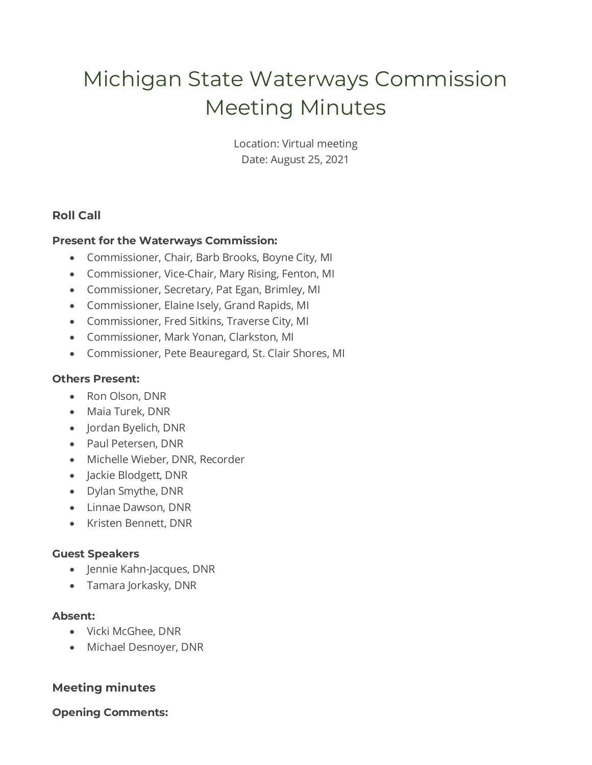# Michigan State Waterways Commission Meeting Minutes

Location: Virtual meeting Date: August 25, 2021

# **Roll Call**

## **Present for the Waterways Commission:**

- Commissioner, Chair, Barb Brooks, Boyne City, MI
- Commissioner, Vice-Chair, Mary Rising, Fenton, MI
- Commissioner, Secretary, Pat Egan, Brimley, MI
- Commissioner, Elaine Isely, Grand Rapids, MI
- Commissioner, Fred Sitkins, Traverse City, MI
- Commissioner, Mark Yonan, Clarkston, MI
- Commissioner, Pete Beauregard, St. Clair Shores, MI

## **Others Present:**

- Ron Olson, DNR
- Maia Turek, DNR
- Jordan Byelich, DNR
- Paul Petersen, DNR
- Michelle Wieber, DNR, Recorder
- Jackie Blodgett, DNR
- Dylan Smythe, DNR
- Linnae Dawson, DNR
- Kristen Bennett, DNR

#### **Guest Speakers**

- Jennie Kahn-Jacques, DNR
- Tamara Jorkasky, DNR

#### **Absent:**

- Vicki McGhee, DNR
- Michael Desnoyer, DNR

# **Meeting minutes**

# **Opening Comments:**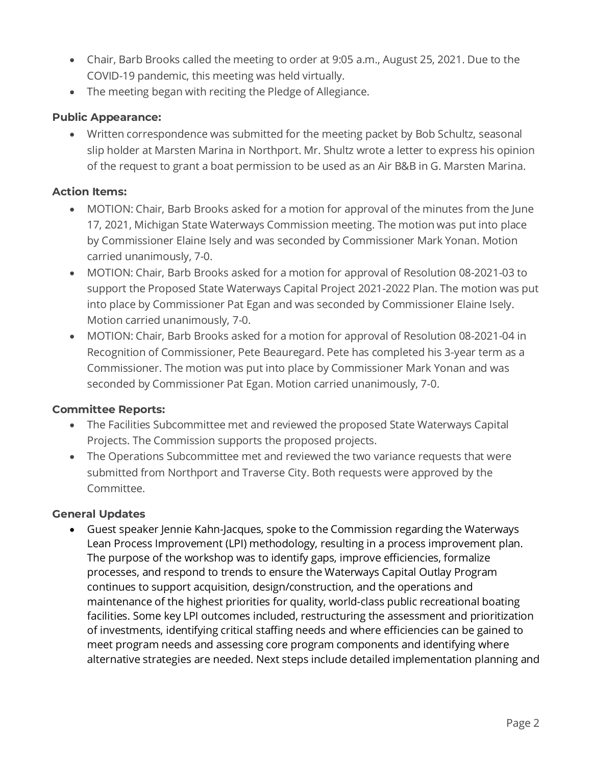- Chair, Barb Brooks called the meeting to order at 9:05 a.m., August 25, 2021. Due to the COVID-19 pandemic, this meeting was held virtually.
- The meeting began with reciting the Pledge of Allegiance.

# **Public Appearance:**

• Written correspondence was submitted for the meeting packet by Bob Schultz, seasonal slip holder at Marsten Marina in Northport. Mr. Shultz wrote a letter to express his opinion of the request to grant a boat permission to be used as an Air B&B in G. Marsten Marina.

## **Action Items:**

- MOTION: Chair, Barb Brooks asked for a motion for approval of the minutes from the June 17, 2021, Michigan State Waterways Commission meeting. The motion was put into place by Commissioner Elaine Isely and was seconded by Commissioner Mark Yonan. Motion carried unanimously, 7-0.
- MOTION: Chair, Barb Brooks asked for a motion for approval of Resolution 08-2021-03 to support the Proposed State Waterways Capital Project 2021-2022 Plan. The motion was put into place by Commissioner Pat Egan and was seconded by Commissioner Elaine Isely. Motion carried unanimously, 7-0.
- MOTION: Chair, Barb Brooks asked for a motion for approval of Resolution 08-2021-04 in Recognition of Commissioner, Pete Beauregard. Pete has completed his 3-year term as a Commissioner. The motion was put into place by Commissioner Mark Yonan and was seconded by Commissioner Pat Egan. Motion carried unanimously, 7-0.

#### **Committee Reports:**

- The Facilities Subcommittee met and reviewed the proposed State Waterways Capital Projects. The Commission supports the proposed projects.
- The Operations Subcommittee met and reviewed the two variance requests that were submitted from Northport and Traverse City. Both requests were approved by the Committee.

# **General Updates**

• Guest speaker Jennie Kahn-Jacques, spoke to the Commission regarding the Waterways Lean Process Improvement (LPI) methodology, resulting in a process improvement plan. The purpose of the workshop was to identify gaps, improve efficiencies, formalize processes, and respond to trends to ensure the Waterways Capital Outlay Program continues to support acquisition, design/construction, and the operations and maintenance of the highest priorities for quality, world-class public recreational boating facilities. Some key LPI outcomes included, restructuring the assessment and prioritization of investments, identifying critical staffing needs and where efficiencies can be gained to meet program needs and assessing core program components and identifying where alternative strategies are needed. Next steps include detailed implementation planning and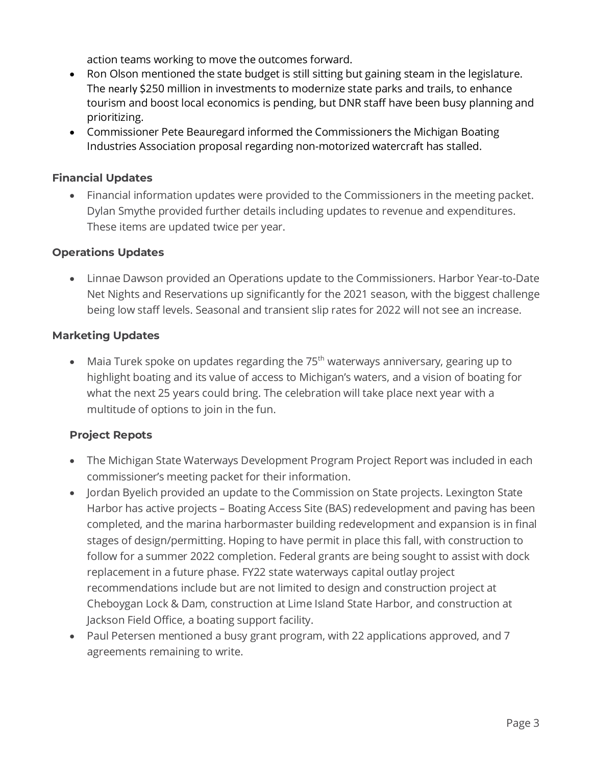action teams working to move the outcomes forward.

- Ron Olson mentioned the state budget is still sitting but gaining steam in the legislature. The nearly \$250 million in investments to modernize state parks and trails, to enhance tourism and boost local economics is pending, but DNR staff have been busy planning and prioritizing.
- Commissioner Pete Beauregard informed the Commissioners the Michigan Boating Industries Association proposal regarding non-motorized watercraft has stalled.

## **Financial Updates**

• Financial information updates were provided to the Commissioners in the meeting packet. Dylan Smythe provided further details including updates to revenue and expenditures. These items are updated twice per year.

## **Operations Updates**

• Linnae Dawson provided an Operations update to the Commissioners. Harbor Year-to-Date Net Nights and Reservations up significantly for the 2021 season, with the biggest challenge being low staff levels. Seasonal and transient slip rates for 2022 will not see an increase.

#### **Marketing Updates**

• Maia Turek spoke on updates regarding the  $75<sup>th</sup>$  waterways anniversary, gearing up to highlight boating and its value of access to Michigan's waters, and a vision of boating for what the next 25 years could bring. The celebration will take place next year with a multitude of options to join in the fun.

#### **Project Repots**

- The Michigan State Waterways Development Program Project Report was included in each commissioner's meeting packet for their information.
- Jordan Byelich provided an update to the Commission on State projects. Lexington State Harbor has active projects – Boating Access Site (BAS) redevelopment and paving has been completed, and the marina harbormaster building redevelopment and expansion is in final stages of design/permitting. Hoping to have permit in place this fall, with construction to follow for a summer 2022 completion. Federal grants are being sought to assist with dock replacement in a future phase. FY22 state waterways capital outlay project recommendations include but are not limited to design and construction project at Cheboygan Lock & Dam, construction at Lime Island State Harbor, and construction at Jackson Field Office, a boating support facility.
- Paul Petersen mentioned a busy grant program, with 22 applications approved, and 7 agreements remaining to write.